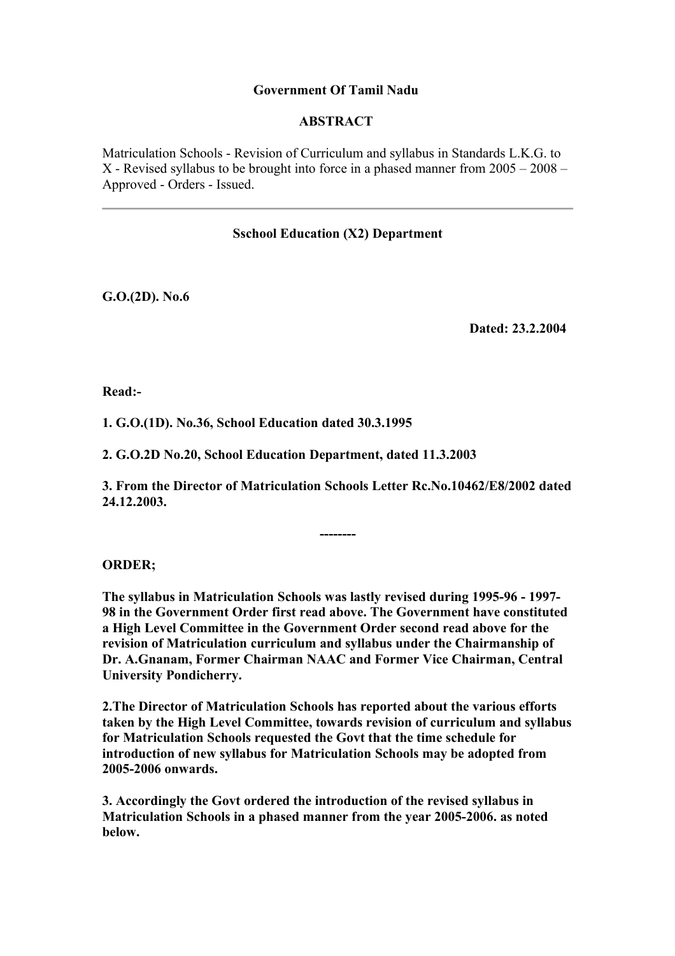## **Government Of Tamil Nadu**

#### **ABSTRACT**

Matriculation Schools - Revision of Curriculum and syllabus in Standards L.K.G. to X - Revised syllabus to be brought into force in a phased manner from 2005 – 2008 – Approved - Orders - Issued.

#### **Sschool Education (X2) Department**

**G.O.(2D). No.6**

**Dated: 23.2.2004**

**Read:-**

**1. G.O.(1D). No.36, School Education dated 30.3.1995**

**2. G.O.2D No.20, School Education Department, dated 11.3.2003**

**3. From the Director of Matriculation Schools Letter Rc.No.10462/E8/2002 dated 24.12.2003.**

**--------**

## **ORDER;**

**The syllabus in Matriculation Schools was lastly revised during 1995-96 - 1997- 98 in the Government Order first read above. The Government have constituted a High Level Committee in the Government Order second read above for the revision of Matriculation curriculum and syllabus under the Chairmanship of Dr. A.Gnanam, Former Chairman NAAC and Former Vice Chairman, Central University Pondicherry.**

**2.The Director of Matriculation Schools has reported about the various efforts taken by the High Level Committee, towards revision of curriculum and syllabus for Matriculation Schools requested the Govt that the time schedule for introduction of new syllabus for Matriculation Schools may be adopted from 2005-2006 onwards.**

**3. Accordingly the Govt ordered the introduction of the revised syllabus in Matriculation Schools in a phased manner from the year 2005-2006. as noted below.**